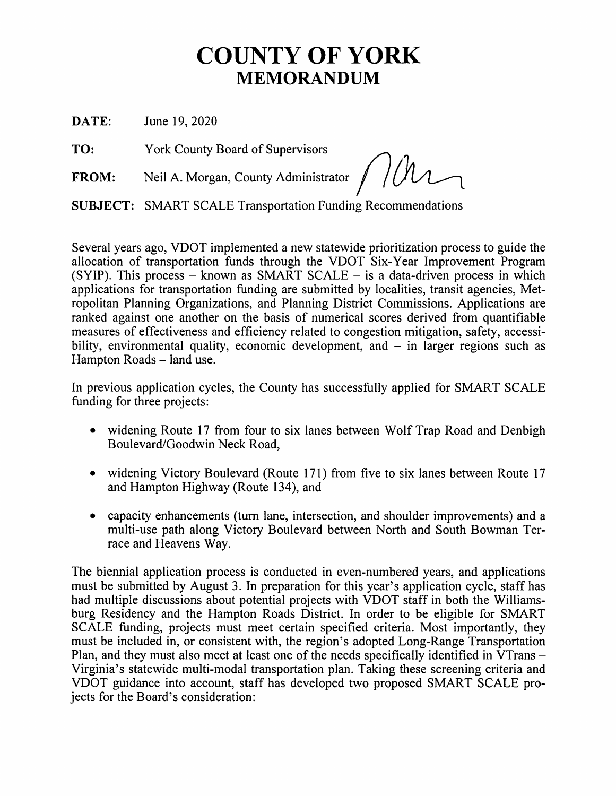## **COUNTY OF YORK MEMORANDUM**

**DATE:** June 19, 2020

**TO:** York County Board of Supervisors

**FROM:** Neil A. Morgan, County Administrator  $/$ /*/*/

**SUBJECT:** SMART SCALE Transportation Funding Recommendations

Several years ago, VDOT implemented a new statewide prioritization process to guide the allocation of transportation funds through the VDOT Six-Year Improvement Program  $(SYIP)$ . This process – known as SMART SCALE – is a data-driven process in which applications for transportation funding are submitted by localities, transit agencies, Metropolitan Planning Organizations, and Planning District Commissions. Applications are ranked against one another on the basis of numerical scores derived from quantifiable measures of effectiveness and efficiency related to congestion mitigation, safety, accessibility, environmental quality, economic development, and  $-$  in larger regions such as Hampton Roads – land use.

In previous application cycles, the County has successfully applied for SMART SCALE funding for three projects:

- widening Route 17 from four to six lanes between Wolf Trap Road and Denbigh Boulevard/Goodwin Neck Road,
- widening Victory Boulevard (Route 171) from five to six lanes between Route 17 and Hampton Highway (Route 134), and
- capacity enhancements (turn lane, intersection, and shoulder improvements) and a multi-use path along Victory Boulevard between North and South Bowman Terrace and Heavens Way.

The biennial application process is conducted in even-numbered years, and applications must be submitted by August 3. In preparation for this year's application cycle, staff has had multiple discussions about potential projects with VDOT staff in both the Williamsburg Residency and the Hampton Roads District. In order to be eligible for SMART SCALE funding, projects must meet certain specified criteria. Most importantly, they must be included in, or consistent with, the region's adopted Long-Range Transportation Plan, and they must also meet at least one of the needs specifically identified in VTrans – Virginia's statewide multi-modal transportation plan. Taking these screening criteria and VDOT guidance into account, staff has developed two proposed SMART SCALE projects for the Board's consideration: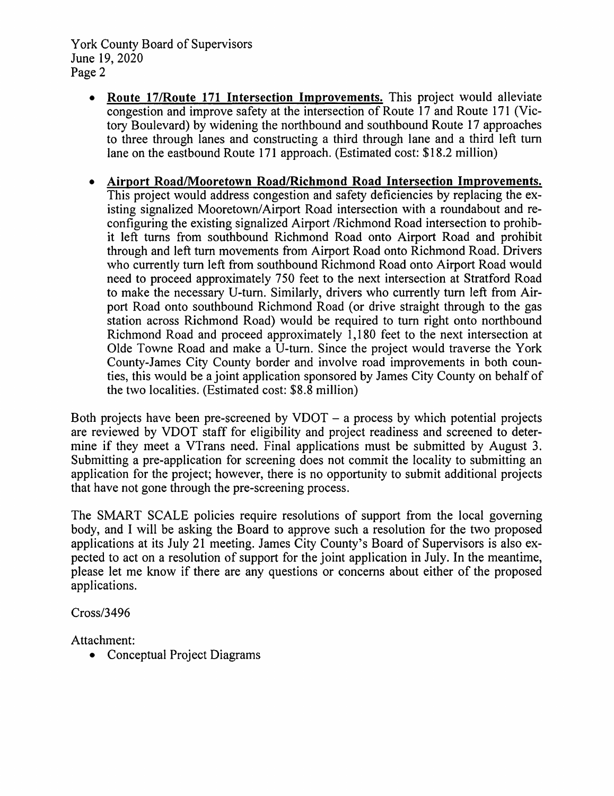York County Board of Supervisors June 19, 2020 Page 2

- **Route 17/Route 171 Intersection Improvements.** This project would alleviate congestion and improve safety at the intersection of Route 17 and Route 171 (Victory Boulevard) by widening the northbound and southbound Route 17 approaches to three through lanes and constructing a third through lane and a third left tum lane on the eastbound Route 171 approach. (Estimated cost: \$18.2 million)
- **Airport Road/Mooretown Road/Richmond Road Intersection Improvements.**  This project would address congestion and safety deficiencies by replacing the existing signalized Mooretown/Airport Road intersection with a roundabout and reconfiguring the existing signalized Airport /Richmond Road intersection to prohibit left turns from southbound Richmond Road onto Airport Road and prohibit through and left tum movements from Airport Road onto Richmond Road. Drivers who currently tum left from southbound Richmond Road onto Airport Road would need to proceed approximately 750 feet to the next intersection at Stratford Road to make the necessary U-tum. Similarly, drivers who currently tum left from Airport Road onto southbound Richmond Road (or drive straight through to the gas station across Richmond Road) would be required to tum right onto northbound Richmond Road and proceed approximately 1,180 feet to the next intersection at Olde Towne Road and make a U-tum. Since the project would traverse the York County-James City County border and involve road improvements in both counties, this would be a joint application sponsored by James City County on behalf of the two localities. (Estimated cost: \$8.8 million)

Both projects have been pre-screened by  $V$ DOT  $-$  a process by which potential projects are reviewed by VDOT staff for eligibility and project readiness and screened to determine if they meet a VTrans need. Final applications must be submitted by August 3. Submitting a pre-application for screening does not commit the locality to submitting an application for the project; however, there is no opportunity to submit additional projects that have not gone through the pre-screening process.

The SMART SCALE policies require resolutions of support from the local governing body, and I will be asking the Board to approve such a resolution for the two proposed applications at its July 21 meeting. James City County's Board of Supervisors is also expected to act on a resolution of support for the joint application in July. In the meantime, please let me know if there are any questions or concerns about either of the proposed applications.

Cross/3496

Attachment:

• Conceptual Project Diagrams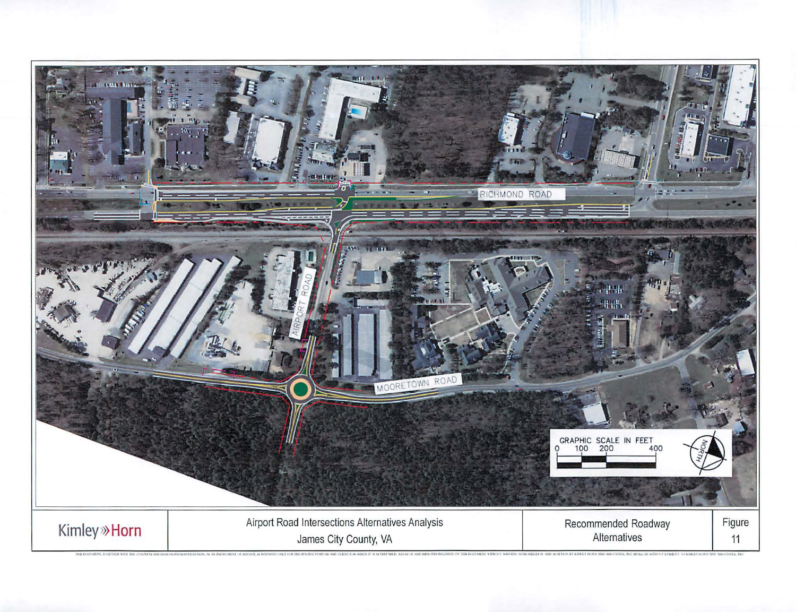